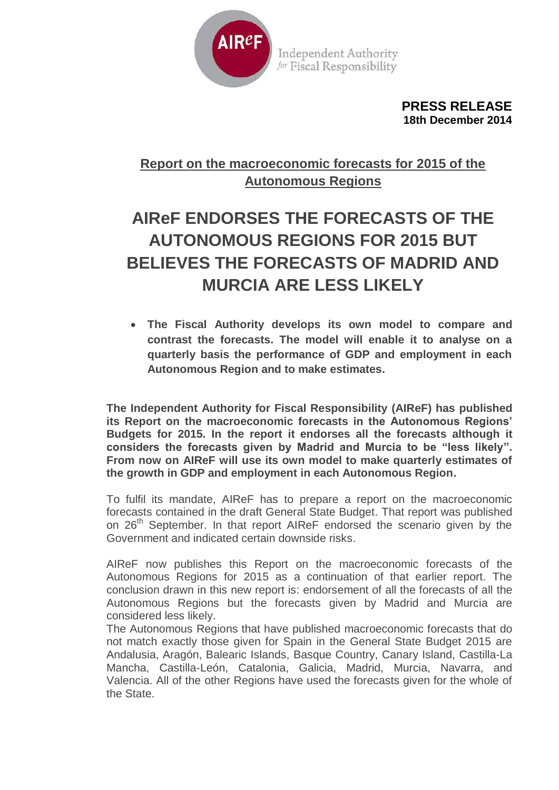

**Independent Authority** for Fiscal Responsibility

> **PRESS RELEASE 18th December 2014**

## **Report on the macroeconomic forecasts for 2015 of the Autonomous Regions**

## **AIReF ENDORSES THE FORECASTS OF THE AUTONOMOUS REGIONS FOR 2015 BUT BELIEVES THE FORECASTS OF MADRID AND MURCIA ARE LESS LIKELY**

 **The Fiscal Authority develops its own model to compare and contrast the forecasts. The model will enable it to analyse on a quarterly basis the performance of GDP and employment in each Autonomous Region and to make estimates.**

**The Independent Authority for Fiscal Responsibility (AIReF) has published its Report on the macroeconomic forecasts in the Autonomous Regions' Budgets for 2015. In the report it endorses all the forecasts although it considers the forecasts given by Madrid and Murcia to be "less likely". From now on AIReF will use its own model to make quarterly estimates of the growth in GDP and employment in each Autonomous Region.**

To fulfil its mandate, AIReF has to prepare a report on the macroeconomic forecasts contained in the draft General State Budget. That report was published on 26<sup>th</sup> September. In that report AIReF endorsed the scenario given by the Government and indicated certain downside risks.

AIReF now publishes this Report on the macroeconomic forecasts of the Autonomous Regions for 2015 as a continuation of that earlier report. The conclusion drawn in this new report is: endorsement of all the forecasts of all the Autonomous Regions but the forecasts given by Madrid and Murcia are considered less likely.

The Autonomous Regions that have published macroeconomic forecasts that do not match exactly those given for Spain in the General State Budget 2015 are Andalusia, Aragón, Balearic Islands, Basque Country, Canary Island, Castilla-La Mancha, Castilla-León, Catalonia, Galicia, Madrid, Murcia, Navarra, and Valencia. All of the other Regions have used the forecasts given for the whole of the State.